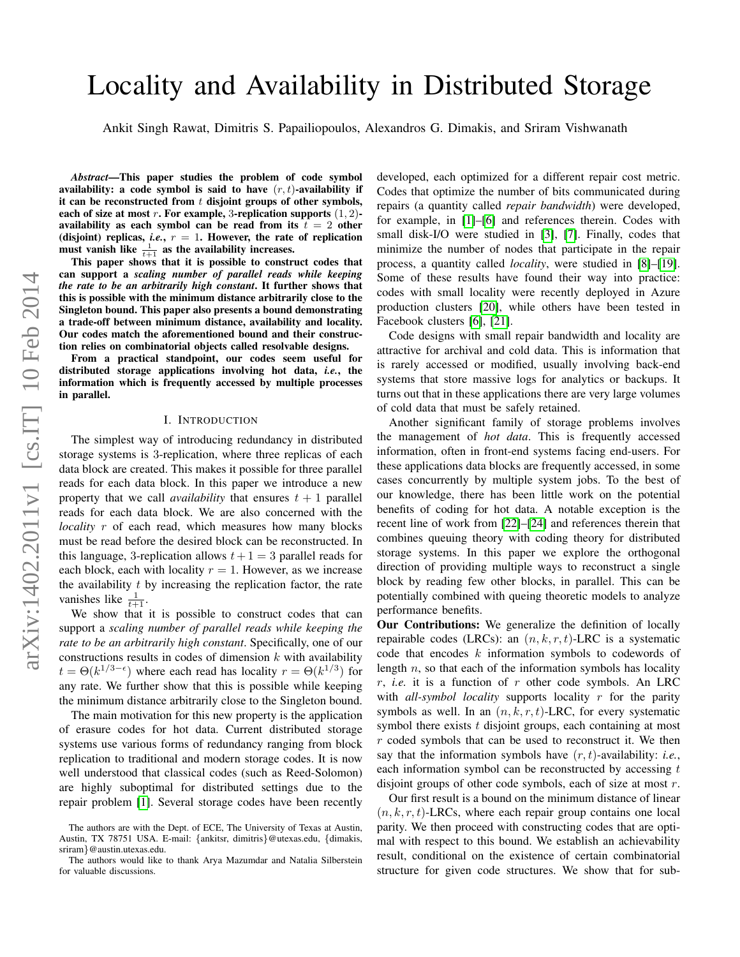# Locality and Availability in Distributed Storage

Ankit Singh Rawat, Dimitris S. Papailiopoulos, Alexandros G. Dimakis, and Sriram Vishwanath

*Abstract*—This paper studies the problem of code symbol availability: a code symbol is said to have  $(r, t)$ -availability if it can be reconstructed from  $t$  disjoint groups of other symbols, each of size at most  $r$ . For example, 3-replication supports  $(1, 2)$ availability as each symbol can be read from its  $t = 2$  other (disjoint) replicas, *i.e.*,  $r = 1$ . However, the rate of replication must vanish like  $\frac{1}{t+1}$  as the availability increases.

This paper shows that it is possible to construct codes that can support a *scaling number of parallel reads while keeping the rate to be an arbitrarily high constant*. It further shows that this is possible with the minimum distance arbitrarily close to the Singleton bound. This paper also presents a bound demonstrating a trade-off between minimum distance, availability and locality. Our codes match the aforementioned bound and their construction relies on combinatorial objects called resolvable designs.

From a practical standpoint, our codes seem useful for distributed storage applications involving hot data, *i.e.*, the information which is frequently accessed by multiple processes in parallel.

#### I. INTRODUCTION

The simplest way of introducing redundancy in distributed storage systems is 3-replication, where three replicas of each data block are created. This makes it possible for three parallel reads for each data block. In this paper we introduce a new property that we call *availability* that ensures  $t + 1$  parallel reads for each data block. We are also concerned with the *locality* r of each read, which measures how many blocks must be read before the desired block can be reconstructed. In this language, 3-replication allows  $t+1 = 3$  parallel reads for each block, each with locality  $r = 1$ . However, as we increase the availability  $t$  by increasing the replication factor, the rate vanishes like  $\frac{1}{t+1}$ .

We show that it is possible to construct codes that can support a *scaling number of parallel reads while keeping the rate to be an arbitrarily high constant*. Specifically, one of our constructions results in codes of dimension  $k$  with availability  $t = \Theta(k^{1/3-\epsilon})$  where each read has locality  $r = \Theta(k^{1/3})$  for any rate. We further show that this is possible while keeping the minimum distance arbitrarily close to the Singleton bound.

The main motivation for this new property is the application of erasure codes for hot data. Current distributed storage systems use various forms of redundancy ranging from block replication to traditional and modern storage codes. It is now well understood that classical codes (such as Reed-Solomon) are highly suboptimal for distributed settings due to the repair problem [\[1\]](#page-6-0). Several storage codes have been recently developed, each optimized for a different repair cost metric. Codes that optimize the number of bits communicated during repairs (a quantity called *repair bandwidth*) were developed, for example, in [\[1\]](#page-6-0)–[\[6\]](#page-7-0) and references therein. Codes with small disk-I/O were studied in [\[3\]](#page-6-1), [\[7\]](#page-7-1). Finally, codes that minimize the number of nodes that participate in the repair process, a quantity called *locality*, were studied in [\[8\]](#page-7-2)–[\[19\]](#page-7-3). Some of these results have found their way into practice: codes with small locality were recently deployed in Azure production clusters [\[20\]](#page-7-4), while others have been tested in Facebook clusters [\[6\]](#page-7-0), [\[21\]](#page-7-5).

Code designs with small repair bandwidth and locality are attractive for archival and cold data. This is information that is rarely accessed or modified, usually involving back-end systems that store massive logs for analytics or backups. It turns out that in these applications there are very large volumes of cold data that must be safely retained.

Another significant family of storage problems involves the management of *hot data*. This is frequently accessed information, often in front-end systems facing end-users. For these applications data blocks are frequently accessed, in some cases concurrently by multiple system jobs. To the best of our knowledge, there has been little work on the potential benefits of coding for hot data. A notable exception is the recent line of work from [\[22\]](#page-7-6)–[\[24\]](#page-7-7) and references therein that combines queuing theory with coding theory for distributed storage systems. In this paper we explore the orthogonal direction of providing multiple ways to reconstruct a single block by reading few other blocks, in parallel. This can be potentially combined with queing theoretic models to analyze performance benefits.

Our Contributions: We generalize the definition of locally repairable codes (LRCs): an  $(n, k, r, t)$ -LRC is a systematic code that encodes k information symbols to codewords of length  $n$ , so that each of the information symbols has locality r, *i.e.* it is a function of r other code symbols. An LRC with *all-symbol locality* supports locality r for the parity symbols as well. In an  $(n, k, r, t)$ -LRC, for every systematic symbol there exists  $t$  disjoint groups, each containing at most r coded symbols that can be used to reconstruct it. We then say that the information symbols have  $(r, t)$ -availability: *i.e.*, each information symbol can be reconstructed by accessing  $t$ disjoint groups of other code symbols, each of size at most  $r$ .

Our first result is a bound on the minimum distance of linear  $(n, k, r, t)$ -LRCs, where each repair group contains one local parity. We then proceed with constructing codes that are optimal with respect to this bound. We establish an achievability result, conditional on the existence of certain combinatorial structure for given code structures. We show that for sub-

The authors are with the Dept. of ECE, The University of Texas at Austin, Austin, TX 78751 USA. E-mail: {ankitsr, dimitris}@utexas.edu, {dimakis, sriram}@austin.utexas.edu.

The authors would like to thank Arya Mazumdar and Natalia Silberstein for valuable discussions.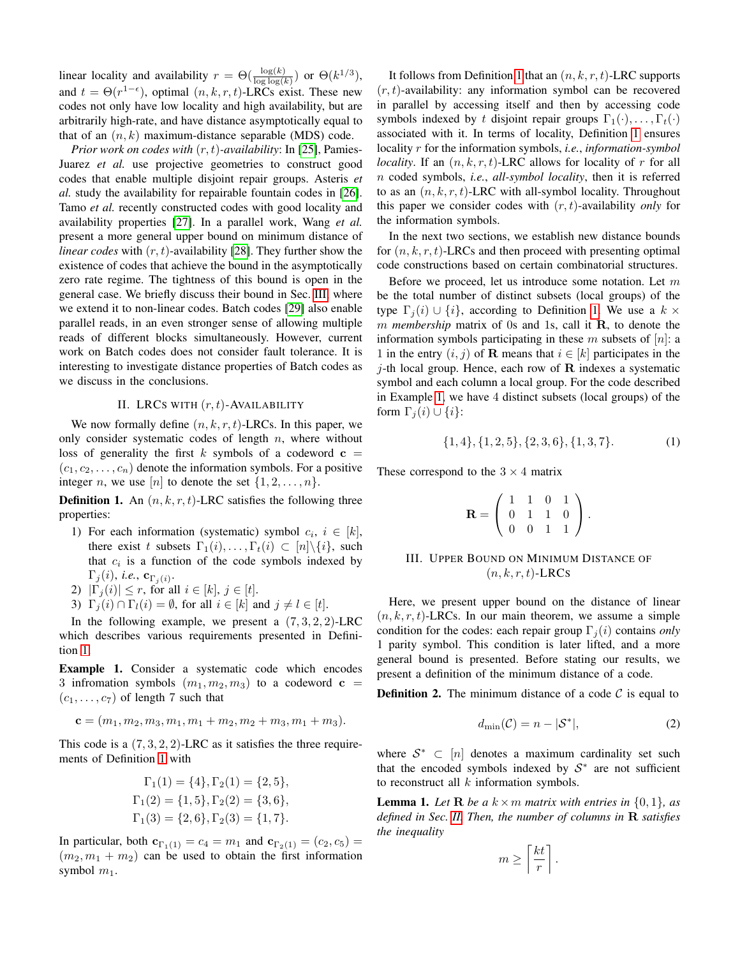linear locality and availability  $r = \Theta(\frac{\log(k)}{\log \log(k)})$  or  $\Theta(k^{1/3})$ , and  $t = \Theta(r^{1-\epsilon})$ , optimal  $(n, k, r, t)$ -LRCs exist. These new codes not only have low locality and high availability, but are arbitrarily high-rate, and have distance asymptotically equal to that of an  $(n, k)$  maximum-distance separable (MDS) code.

*Prior work on codes with* (r, t)*-availability*: In [\[25\]](#page-7-8), Pamies-Juarez *et al.* use projective geometries to construct good codes that enable multiple disjoint repair groups. Asteris *et al.* study the availability for repairable fountain codes in [\[26\]](#page-7-9). Tamo *et al.* recently constructed codes with good locality and availability properties [\[27\]](#page-7-10). In a parallel work, Wang *et al.* present a more general upper bound on minimum distance of *linear codes* with  $(r, t)$ -availability [\[28\]](#page-7-11). They further show the existence of codes that achieve the bound in the asymptotically zero rate regime. The tightness of this bound is open in the general case. We briefly discuss their bound in Sec. [III,](#page-1-0) where we extend it to non-linear codes. Batch codes [\[29\]](#page-7-12) also enable parallel reads, in an even stronger sense of allowing multiple reads of different blocks simultaneously. However, current work on Batch codes does not consider fault tolerance. It is interesting to investigate distance properties of Batch codes as we discuss in the conclusions.

## II. LRCS WITH  $(r, t)$ -AVAILABILITY

<span id="page-1-3"></span>We now formally define  $(n, k, r, t)$ -LRCs. In this paper, we only consider systematic codes of length  $n$ , where without loss of generality the first k symbols of a codeword  $c =$  $(c_1, c_2, \ldots, c_n)$  denote the information symbols. For a positive integer *n*, we use [*n*] to denote the set  $\{1, 2, \ldots, n\}$ .

<span id="page-1-1"></span>**Definition 1.** An  $(n, k, r, t)$ -LRC satisfies the following three properties:

- 1) For each information (systematic) symbol  $c_i$ ,  $i \in [k]$ , there exist t subsets  $\Gamma_1(i), \ldots, \Gamma_t(i) \subset [n] \backslash \{i\}$ , such that  $c_i$  is a function of the code symbols indexed by  $\Gamma_j(i)$ , *i.e.*,  $\mathbf{c}_{\Gamma_j(i)}$ .
- 2)  $|\Gamma_j(i)| \leq r$ , for all  $i \in [k]$ ,  $j \in [t]$ .
- 3)  $\Gamma_i(i) \cap \Gamma_i(i) = \emptyset$ , for all  $i \in [k]$  and  $j \neq l \in [t]$ .

In the following example, we present a  $(7, 3, 2, 2)$ -LRC which describes various requirements presented in Definition [1.](#page-1-1)

<span id="page-1-2"></span>Example 1. Consider a systematic code which encodes 3 infromation symbols  $(m_1, m_2, m_3)$  to a codeword  $c =$  $(c_1, \ldots, c_7)$  of length 7 such that

$$
\mathbf{c} = (m_1, m_2, m_3, m_1, m_1 + m_2, m_2 + m_3, m_1 + m_3).
$$

This code is a  $(7, 3, 2, 2)$ -LRC as it satisfies the three requirements of Definition [1](#page-1-1) with

$$
\Gamma_1(1) = \{4\}, \Gamma_2(1) = \{2, 5\},
$$
  
\n
$$
\Gamma_1(2) = \{1, 5\}, \Gamma_2(2) = \{3, 6\},
$$
  
\n
$$
\Gamma_1(3) = \{2, 6\}, \Gamma_2(3) = \{1, 7\}.
$$

In particular, both  ${\bf c}_{\Gamma_1(1)} = c_4 = m_1$  and  ${\bf c}_{\Gamma_2(1)} = (c_2, c_5) =$  $(m_2, m_1 + m_2)$  can be used to obtain the first information symbol  $m_1$ .

It follows from Definition [1](#page-1-1) that an  $(n, k, r, t)$ -LRC supports  $(r, t)$ -availability: any information symbol can be recovered in parallel by accessing itself and then by accessing code symbols indexed by t disjoint repair groups  $\Gamma_1(\cdot), \ldots, \Gamma_t(\cdot)$ associated with it. In terms of locality, Definition [1](#page-1-1) ensures locality r for the information symbols, *i.e.*, *information-symbol locality*. If an  $(n, k, r, t)$ -LRC allows for locality of r for all n coded symbols, *i.e.*, *all-symbol locality*, then it is referred to as an  $(n, k, r, t)$ -LRC with all-symbol locality. Throughout this paper we consider codes with  $(r, t)$ -availability *only* for the information symbols.

In the next two sections, we establish new distance bounds for  $(n, k, r, t)$ -LRCs and then proceed with presenting optimal code constructions based on certain combinatorial structures.

Before we proceed, let us introduce some notation. Let  $m$ be the total number of distinct subsets (local groups) of the type  $\Gamma_i(i) \cup \{i\}$ , according to Definition [1.](#page-1-1) We use a  $k \times$ m *membership* matrix of 0s and 1s, call it **R**, to denote the information symbols participating in these  $m$  subsets of  $[n]$ : a 1 in the entry  $(i, j)$  of R means that  $i \in [k]$  participates in the  $j$ -th local group. Hence, each row of R indexes a systematic symbol and each column a local group. For the code described in Example [1,](#page-1-2) we have 4 distinct subsets (local groups) of the form  $\Gamma_i(i) \cup \{i\}$ :

$$
\{1,4\}, \{1,2,5\}, \{2,3,6\}, \{1,3,7\}. \tag{1}
$$

These correspond to the  $3 \times 4$  matrix

$$
\mathbf{R} = \left( \begin{array}{rrr} 1 & 1 & 0 & 1 \\ 0 & 1 & 1 & 0 \\ 0 & 0 & 1 & 1 \end{array} \right).
$$

# <span id="page-1-0"></span>III. UPPER BOUND ON MINIMUM DISTANCE OF  $(n, k, r, t)$ -LRCS

Here, we present upper bound on the distance of linear  $(n, k, r, t)$ -LRCs. In our main theorem, we assume a simple condition for the codes: each repair group  $\Gamma_i(i)$  contains *only* 1 parity symbol. This condition is later lifted, and a more general bound is presented. Before stating our results, we present a definition of the minimum distance of a code.

<span id="page-1-4"></span>**Definition 2.** The minimum distance of a code  $C$  is equal to

<span id="page-1-5"></span>
$$
d_{\min}(\mathcal{C}) = n - |\mathcal{S}^*|,\tag{2}
$$

where  $S^* \subset [n]$  denotes a maximum cardinality set such that the encoded symbols indexed by  $S^*$  are not sufficient to reconstruct all  $k$  information symbols.

<span id="page-1-6"></span>**Lemma 1.** Let **R** be a  $k \times m$  matrix with entries in  $\{0, 1\}$ , as *defined in Sec. [II.](#page-1-3) Then, the number of columns in* R *satisfies the inequality*

$$
m \ge \left\lceil \frac{kt}{r} \right\rceil.
$$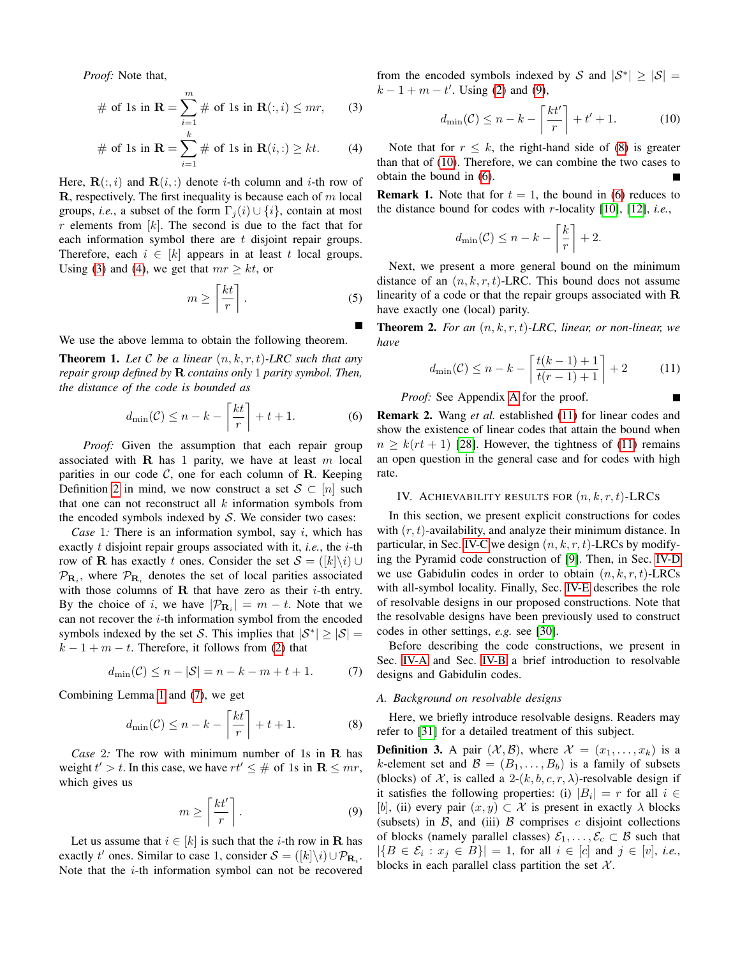*Proof:* Note that,

# of 1s in 
$$
\mathbf{R} = \sum_{i=1}^{m} \# \text{ of 1s in } \mathbf{R}(:,i) \leq mr,
$$
 (3)

# of 1s in 
$$
\mathbf{R} = \sum_{i=1}^{k} \# \text{ of 1s in } \mathbf{R}(i, :) \geq kt.
$$
 (4)

Here,  $\mathbf{R}(:,i)$  and  $\mathbf{R}(i,:)$  denote *i*-th column and *i*-th row of **R**, respectively. The first inequality is because each of  $m$  local groups, *i.e.*, a subset of the form  $\Gamma_i(i) \cup \{i\}$ , contain at most r elements from  $[k]$ . The second is due to the fact that for each information symbol there are  $t$  disjoint repair groups. Therefore, each  $i \in [k]$  appears in at least t local groups. Using [\(3\)](#page-2-0) and [\(4\)](#page-2-1), we get that  $mr \geq kt$ , or

$$
m \ge \left\lceil \frac{kt}{r} \right\rceil. \tag{5}
$$

We use the above lemma to obtain the following theorem.

<span id="page-2-11"></span>**Theorem 1.** Let C be a linear  $(n, k, r, t)$ -LRC such that any *repair group defined by* R *contains only* 1 *parity symbol. Then, the distance of the code is bounded as*

$$
d_{\min}(\mathcal{C}) \le n - k - \left\lceil \frac{kt}{r} \right\rceil + t + 1. \tag{6}
$$

*Proof:* Given the assumption that each repair group associated with  $R$  has 1 parity, we have at least  $m$  local parities in our code  $\mathcal{C}$ , one for each column of **R**. Keeping Definition [2](#page-1-4) in mind, we now construct a set  $S \subset [n]$  such that one can not reconstruct all  $k$  information symbols from the encoded symbols indexed by  $S$ . We consider two cases:

*Case* 1*:* There is an information symbol, say *i*, which has exactly t disjoint repair groups associated with it, *i.e.*, the i-th row of **R** has exactly t ones. Consider the set  $S = ([k] \setminus i) \cup$  $\mathcal{P}_{\mathbf{R}_i}$ , where  $\mathcal{P}_{\mathbf{R}_i}$  denotes the set of local parities associated with those columns of  $R$  that have zero as their *i*-th entry. By the choice of i, we have  $|\mathcal{P}_{\mathbf{R}_i}| = m - t$ . Note that we can not recover the  $i$ -th information symbol from the encoded symbols indexed by the set S. This implies that  $|S^*| \geq |S|$  =  $k-1+m-t$ . Therefore, it follows from [\(2\)](#page-1-5) that

$$
d_{\min}(\mathcal{C}) \le n - |\mathcal{S}| = n - k - m + t + 1. \tag{7}
$$

Combining Lemma [1](#page-1-6) and [\(7\)](#page-2-2), we get

$$
d_{\min}(\mathcal{C}) \le n - k - \left\lceil \frac{kt}{r} \right\rceil + t + 1. \tag{8}
$$

*Case* 2*:* The row with minimum number of 1s in **R** has weight  $t' > t$ . In this case, we have  $rt' \leq \text{\# of } 1s$  in  $\mathbf{R} \leq mr$ , which gives us

$$
m \ge \left\lceil \frac{kt'}{r} \right\rceil. \tag{9}
$$

Let us assume that  $i \in [k]$  is such that the *i*-th row in **R** has exactly t' ones. Similar to case 1, consider  $S = ([k] \setminus i) \cup \mathcal{P}_{\mathbf{R}_i}$ . Note that the  $i$ -th information symbol can not be recovered <span id="page-2-0"></span>from the encoded symbols indexed by S and  $|S^*| \geq |S|$  =  $k - 1 + m - t'$ . Using [\(2\)](#page-1-5) and [\(9\)](#page-2-3),

<span id="page-2-5"></span>
$$
d_{\min}(\mathcal{C}) \le n - k - \left\lceil \frac{kt'}{r} \right\rceil + t' + 1. \tag{10}
$$

<span id="page-2-1"></span>Note that for  $r \leq k$ , the right-hand side of [\(8\)](#page-2-4) is greater than that of [\(10\)](#page-2-5). Therefore, we can combine the two cases to obtain the bound in [\(6\)](#page-2-6).

**Remark 1.** Note that for  $t = 1$ , the bound in [\(6\)](#page-2-6) reduces to the distance bound for codes with r-locality [\[10\]](#page-7-13), [\[12\]](#page-7-14), *i.e.*,

$$
d_{\min}(\mathcal{C}) \le n - k - \left\lceil \frac{k}{r} \right\rceil + 2.
$$

Next, we present a more general bound on the minimum distance of an  $(n, k, r, t)$ -LRC. This bound does not assume linearity of a code or that the repair groups associated with R have exactly one (local) parity.

<span id="page-2-10"></span>Theorem 2. *For an* (n, k, r, t)*-LRC, linear, or non-linear, we have*

<span id="page-2-7"></span>
$$
d_{\min}(\mathcal{C}) \le n - k - \left\lceil \frac{t(k-1)+1}{t(r-1)+1} \right\rceil + 2 \tag{11}
$$

*Proof:* See [A](#page-7-15)ppendix A for the proof.

<span id="page-2-6"></span>Remark 2. Wang *et al.* established [\(11\)](#page-2-7) for linear codes and show the existence of linear codes that attain the bound when  $n \geq k(rt + 1)$  [\[28\]](#page-7-11). However, the tightness of [\(11\)](#page-2-7) remains an open question in the general case and for codes with high rate.

#### IV. ACHIEVABILITY RESULTS FOR  $(n, k, r, t)$ -LRCS

In this section, we present explicit constructions for codes with  $(r, t)$ -availability, and analyze their minimum distance. In particular, in Sec. [IV-C](#page-3-0) we design  $(n, k, r, t)$ -LRCs by modifying the Pyramid code construction of [\[9\]](#page-7-16). Then, in Sec. [IV-D](#page-4-0) we use Gabidulin codes in order to obtain  $(n, k, r, t)$ -LRCs with all-symbol locality. Finally, Sec. [IV-E](#page-5-0) describes the role of resolvable designs in our proposed constructions. Note that the resolvable designs have been previously used to construct codes in other settings, *e.g.* see [\[30\]](#page-7-17).

<span id="page-2-2"></span>Before describing the code constructions, we present in Sec. [IV-A](#page-2-8) and Sec. [IV-B](#page-3-1) a brief introduction to resolvable designs and Gabidulin codes.

## <span id="page-2-8"></span>*A. Background on resolvable designs*

<span id="page-2-4"></span>Here, we briefly introduce resolvable designs. Readers may refer to [\[31\]](#page-7-18) for a detailed treatment of this subject.

<span id="page-2-9"></span><span id="page-2-3"></span>**Definition 3.** A pair  $(\mathcal{X}, \mathcal{B})$ , where  $\mathcal{X} = (x_1, \dots, x_k)$  is a k-element set and  $\mathcal{B} = (B_1, \ldots, B_b)$  is a family of subsets (blocks) of  $\mathcal{X}$ , is called a 2- $(k, b, c, r, \lambda)$ -resolvable design if it satisfies the following properties: (i)  $|B_i| = r$  for all  $i \in$ [b], (ii) every pair  $(x, y) \subset \mathcal{X}$  is present in exactly  $\lambda$  blocks (subsets) in  $\beta$ , and (iii)  $\beta$  comprises c disjoint collections of blocks (namely parallel classes)  $\mathcal{E}_1, \ldots, \mathcal{E}_c \subset \mathcal{B}$  such that  $|\{B \in \mathcal{E}_i : x_j \in B\}| = 1$ , for all  $i \in [c]$  and  $j \in [v]$ , *i.e.*, blocks in each parallel class partition the set  $\mathcal{X}$ .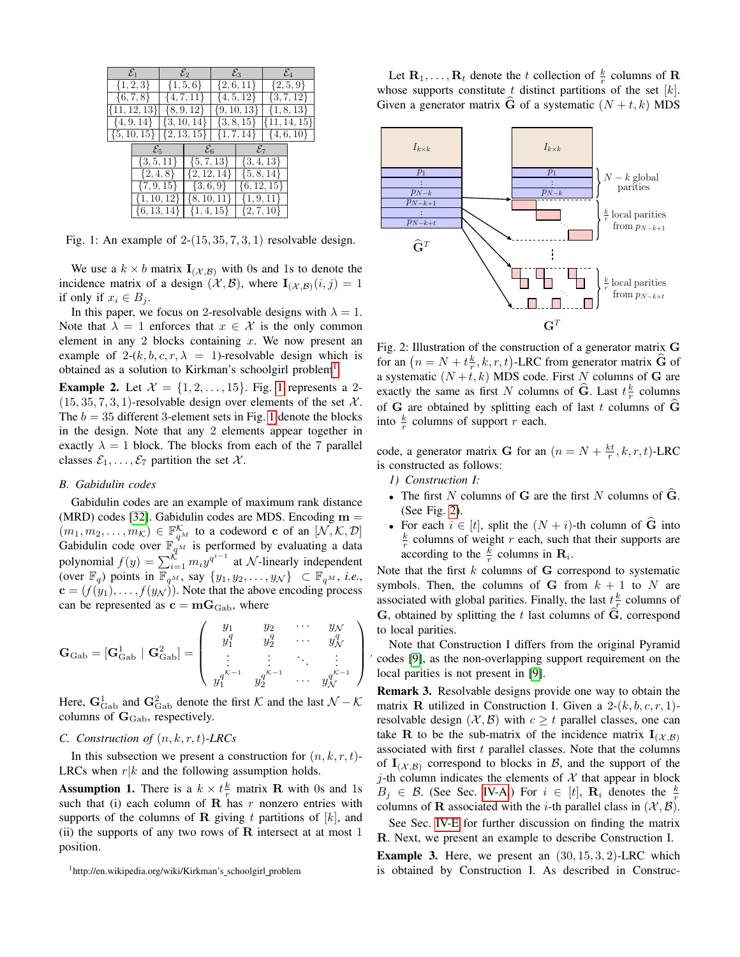<span id="page-3-3"></span>

| $\mathcal{E}_1$    | $\mathcal{E}_2$                 |                 | $\mathcal{E}_3$ |                 | $\mathcal{E}_{\scriptscriptstyle{A}}$ |  |
|--------------------|---------------------------------|-----------------|-----------------|-----------------|---------------------------------------|--|
| $1, 2, 3\}$        | $\{1, 5, 6\}$                   |                 | $\{2,6,11\}$    |                 | $\{\overline{2},5,9\}$                |  |
| $\{6,7,8\}$        | $\{4, 7, 11\}$                  |                 | 4, 5, 12        |                 | $\{3, 7, 12\}$                        |  |
| $\{\{11, 12, 13\}$ | $\{8, 9, 12\}$                  |                 | $\{9, 10, 13\}$ |                 | $\{1, 8, 13$                          |  |
| $\{4, 9, 14\}$     | $\{3, 10, 14\}$                 |                 | $\{3, 8, 15\}$  |                 | $\{11, 14, 15\}$                      |  |
|                    | $\{5, 10, 15\}$ $\{2, 13, 15\}$ |                 | $\{1, 7, 14\}$  |                 | $\{4, 6, 10\}$                        |  |
| $\mathcal{E}_5$    |                                 | $\mathcal{E}_6$ |                 | $\mathcal{E}_7$ |                                       |  |
| $\{3, 5, 11\}$     |                                 | $\{5, 7, 13\}$  |                 | $\{3, 4, 13$    |                                       |  |
| $\{2,4,8\}$        |                                 | $\{2, 12, 14\}$ |                 | $\{5, 8, 14\}$  |                                       |  |
| $\{7, 9, 15\}$     |                                 | $\{3,6,9\}$     |                 | $\{6, 12, 15\}$ |                                       |  |
| 1, 10, 12          |                                 | $\{8, 10, 11$   |                 | $\{1, 9, 11\}$  |                                       |  |
| 6, 13, 14          |                                 | $\{1, 4, 15\}$  |                 | $\{2, 7, 10$    |                                       |  |

Fig. 1: An example of  $2-(15, 35, 7, 3, 1)$  resolvable design.

We use a  $k \times b$  matrix  $\mathbf{I}_{(\mathcal{X},\mathcal{B})}$  with 0s and 1s to denote the incidence matrix of a design  $(\mathcal{X}, \mathcal{B})$ , where  $I_{(\mathcal{X}, \mathcal{B})}(i, j) = 1$ if only if  $x_i \in B_i$ .

In this paper, we focus on 2-resolvable designs with  $\lambda = 1$ . Note that  $\lambda = 1$  enforces that  $x \in \mathcal{X}$  is the only common element in any 2 blocks containing  $x$ . We now present an example of 2- $(k, b, c, r, \lambda = 1)$ -resolvable design which is obtained as a solution to Kirkman's schoolgirl problem<sup>[1](#page-3-2)</sup>.

**Example 2.** Let  $\mathcal{X} = \{1, 2, \ldots, 15\}$  $\mathcal{X} = \{1, 2, \ldots, 15\}$  $\mathcal{X} = \{1, 2, \ldots, 15\}$ . Fig. 1 represents a 2- $(15, 35, 7, 3, 1)$ -resolvable design over elements of the set X. The  $b = 35$  different 3-element sets in Fig. [1](#page-3-3) denote the blocks in the design. Note that any 2 elements appear together in exactly  $\lambda = 1$  block. The blocks from each of the 7 parallel classes  $\mathcal{E}_1, \ldots, \mathcal{E}_7$  partition the set X.

#### <span id="page-3-1"></span>*B. Gabidulin codes*

Gabidulin codes are an example of maximum rank distance (MRD) codes [\[32\]](#page-7-19). Gabidulin codes are MDS. Encoding  $m =$  $(m_1, m_2, \ldots, m_\mathcal{K}) \in \mathbb{F}_{q^M}^\mathcal{K}$  to a codeword c of an  $[\mathcal{N}, \mathcal{K}, \mathcal{D}]$ Gabidulin code over  $\mathbb{F}_{q^M}^q$  is performed by evaluating a data polynomial  $f(y) = \sum_{i=1}^{K} m_i y^{q^{i-1}}$  at N-linearly independent (over  $\mathbb{F}_q$ ) points in  $\overline{\mathbb{F}}_{q^M}$ , say  $\{y_1, y_2, \ldots, y_N\} \subset \overline{\mathbb{F}}_{q^M}$ , *i.e.*,  $\mathbf{c} = (f(y_1), \dots, f(y_N))$ . Note that the above encoding process can be represented as  $c = mG<sub>Gab</sub>$ , where

$$
\mathbf{G}_{\mathrm{Gab}} = [\mathbf{G}_{\mathrm{ Gab}}^{1} | \mathbf{G}_{\mathrm{Gab}}^{2}] = \left( \begin{array}{cccc} y_{1} & y_{2} & \cdots & y_{\mathcal{N}} \\ y_{1}^{q} & y_{2}^{q} & \cdots & y_{\mathcal{N}}^{q} \\ \vdots & \vdots & \ddots & \vdots \\ y_{1}^{q^{\mathcal{K}-1}} & y_{2}^{q^{\mathcal{K}-1}} & \cdots & y_{\mathcal{N}}^{q^{\mathcal{K}-1}} \end{array} \right)
$$

Here,  $\mathbf{G}_{\text{Gab}}^1$  and  $\mathbf{G}_{\text{Gab}}^2$  denote the first K and the last  $\mathcal{N} - \mathcal{K}$ columns of  $\mathbf{G}_{\text{Gab}}$ , respectively.

#### <span id="page-3-0"></span>*C. Construction of* (n, k, r, t)*-LRCs*

In this subsection we present a construction for  $(n, k, r, t)$ -LRCs when  $r|k$  and the following assumption holds.

<span id="page-3-7"></span>**Assumption 1.** There is a  $k \times t^{\frac{k}{r}}$  matrix **R** with 0s and 1s such that (i) each column of  $\bf{R}$  has r nonzero entries with supports of the columns of R giving t partitions of  $[k]$ , and (ii) the supports of any two rows of  $\bf{R}$  intersect at at most 1 position.

Let  $\mathbf{R}_1, \ldots, \mathbf{R}_t$  denote the t collection of  $\frac{k}{r}$  columns of **R** whose supports constitute t distinct partitions of the set  $[k]$ . Given a generator matrix  $\tilde{G}$  of a systematic  $(N + t, k)$  MDS

<span id="page-3-4"></span>

Fig. 2: Illustration of the construction of a generator matrix G for an  $(n = N + t \frac{k}{r}, k, r, t)$ -LRC from generator matrix  $\widehat{G}$  of a systematic  $(N+t, k)$  MDS code. First N columns of G are exactly the same as first N columns of  $\widehat{G}$ . Last  $t^k_{\tau}$  columns of G are obtained by splitting each of last t columns of  $\tilde{G}$ into  $\frac{k}{r}$  columns of support r each.

code, a generator matrix G for an  $(n = N + \frac{kt}{r}, k, r, t)$ -LRC is constructed as follows:

*1) Construction I:*

.

- The first  $N$  columns of  $G$  are the first  $N$  columns of  $G$ . (See Fig. [2\)](#page-3-4).
- For each  $i \in [t]$ , split the  $(N + i)$ -th column of  $\widehat{G}$  into  $\frac{k}{r}$  columns of weight r each, such that their supports are according to the  $\frac{k}{r}$  columns in  $\mathbf{R}_i$ .

Note that the first  $k$  columns of  $G$  correspond to systematic symbols. Then, the columns of G from  $k + 1$  to N are associated with global parities. Finally, the last  $t^k_{\tau}$  columns of G, obtained by splitting the t last columns of  $\hat{G}$ , correspond to local parities.

Note that Construction I differs from the original Pyramid codes [\[9\]](#page-7-16), as the non-overlapping support requirement on the local parities is not present in [\[9\]](#page-7-16).

<span id="page-3-6"></span>Remark 3. Resolvable designs provide one way to obtain the matrix **R** utilized in Construction I. Given a  $2-(k, b, c, r, 1)$ resolvable design  $(X, \mathcal{B})$  with  $c > t$  parallel classes, one can take R to be the sub-matrix of the incidence matrix  $I_{(\mathcal{X},\mathcal{B})}$ associated with first  $t$  parallel classes. Note that the columns of  $I_{(\mathcal{X},\mathcal{B})}$  correspond to blocks in  $\mathcal{B}$ , and the support of the j-th column indicates the elements of  $X$  that appear in block  $B_j \in \mathcal{B}$ . (See Sec. [IV-A.](#page-2-8)) For  $i \in [t]$ ,  $\mathbf{R}_i$  denotes the  $\frac{k}{r}$ columns of **R** associated with the *i*-th parallel class in  $(X, \mathcal{B})$ .

See Sec. [IV-E](#page-5-0) for further discussion on finding the matrix R. Next, we present an example to describe Construction I.

<span id="page-3-5"></span>**Example 3.** Here, we present an  $(30, 15, 3, 2)$ -LRC which is obtained by Construction I. As described in Construc-

<span id="page-3-2"></span><sup>&</sup>lt;sup>1</sup>http://en.wikipedia.org/wiki/Kirkman's\_schoolgirl\_problem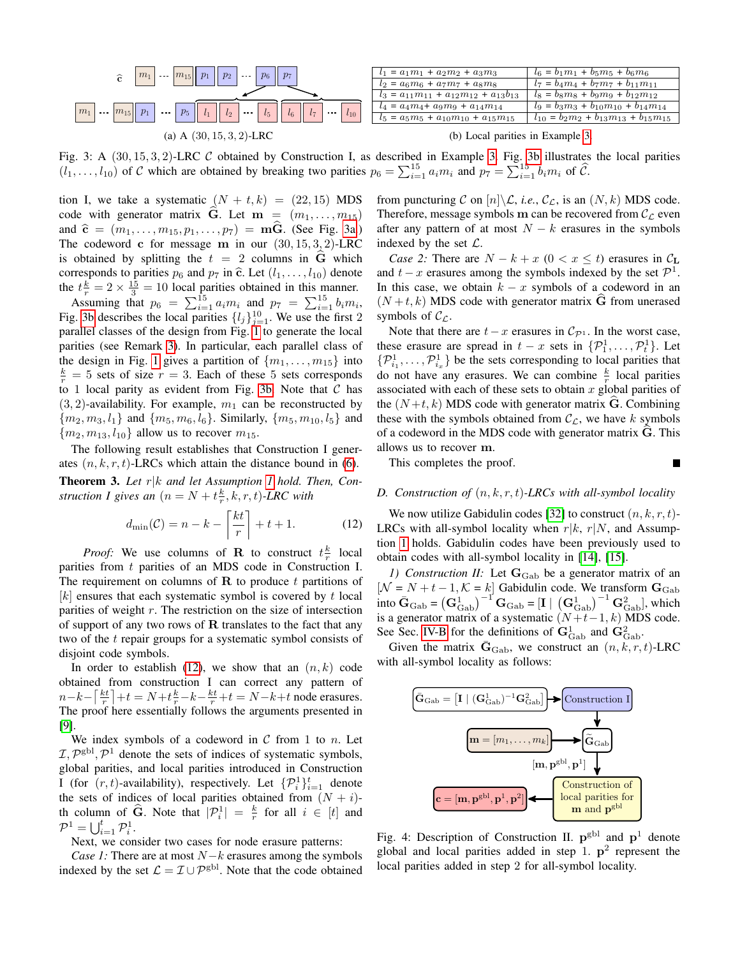<span id="page-4-1"></span>

| $l_1 = a_1 m_1 + a_2 m_2 + a_3 m_3$                | $l_6 = b_1 m_1 + b_5 m_5 + b_6 m_6$                |
|----------------------------------------------------|----------------------------------------------------|
| $l_2 = a_6m_6 + a_7m_7 + a_8m_8$                   | $l_7 = b_4 m_4 + b_7 m_7 + b_{11} m_{11}$          |
| $l_3 = a_{11}m_{11} + a_{12}m_{12} + a_{13}b_{13}$ | $l_8 = b_8 m_8 + b_9 m_9 + b_{12} m_{12}$          |
| $l_4 = a_4 m_4 + a_9 m_9 + a_{14} m_{14}$          | $l_9 = b_3 m_3 + b_{10} m_{10} + b_{14} m_{14}$    |
| $l_5 = a_5m_5 + a_{10}m_{10} + a_{15}m_{15}$       | $l_{10} = b_2 m_2 + b_{13} m_{13} + b_{15} m_{15}$ |

(b) Local parities in Example [3.](#page-3-5)

Fig. 3: A  $(30, 15, 3, 2)$ -LRC C obtained by Construction I, as described in Example [3.](#page-3-5) Fig. [3b](#page-4-1) illustrates the local parities  $(l_1,\ldots,l_{10})$  of C which are obtained by breaking two parities  $p_6 = \sum_{i=1}^{15} a_i m_i$  and  $p_7 = \sum_{i=1}^{15} b_i m_i$  of  $\widehat{C}$ .

tion I, we take a systematic  $(N + t, k) = (22, 15)$  MDS code with generator matrix  $\tilde{G}$ . Let  $m = (m_1, \ldots, m_{15})$ and  $\hat{\mathbf{c}} = (m_1, \dots, m_{15}, p_1, \dots, p_7) = \mathbf{m}\hat{\mathbf{G}}$ . (See Fig. [3a.](#page-4-1)) The codeword c for message m in our  $(30, 15, 3, 2)$ -LRC is obtained by splitting the  $t = 2$  columns in  $\tilde{G}$  which corresponds to parities  $p_6$  and  $p_7$  in  $\hat{c}$ . Let  $(l_1, \ldots, l_{10})$  denote corresponds to parities  $p_6$  and  $p_7$  in  $\hat{c}$ . Let  $(l_1, \ldots, l_{10})$  denote<br>the  $t \frac{k}{r} = 2 \times \frac{15}{3} = 10$  local parities obtained in this manner.

Assuming that  $p_6 = \sum_{i=1}^{15} a_i m_i$  and  $p_7 = \sum_{i=1}^{15} b_i m_i$ , Fig. [3b](#page-4-1) describes the local parities  $\{l_j\}_{j=1}^{10}$ . We use the first 2 parallel classes of the design from Fig. [1](#page-3-3) to generate the local parities (see Remark [3\)](#page-3-6). In particular, each parallel class of the design in Fig. [1](#page-3-3) gives a partition of  $\{m_1, \ldots, m_{15}\}\$  into  $\frac{k}{r}$  = 5 sets of size  $r = 3$ . Each of these 5 sets corresponds to 1 local parity as evident from Fig. [3b.](#page-4-1) Note that  $C$  has  $(3, 2)$ -availability. For example,  $m_1$  can be reconstructed by  ${m_2, m_3, l_1}$  and  ${m_5, m_6, l_6}$ . Similarly,  ${m_5, m_{10}, l_5}$  and  ${m_2, m_{13}, l_{10}}$  allow us to recover  $m_{15}$ .

The following result establishes that Construction I generates  $(n, k, r, t)$ -LRCs which attain the distance bound in [\(6\)](#page-2-6). Theorem 3. *Let* r|k *and let Assumption [1](#page-3-7) hold. Then, Construction I gives an*  $(n = N + t \frac{k}{r}, k, r, t)$ *-LRC with* 

$$
d_{\min}(\mathcal{C}) = n - k - \left\lceil \frac{kt}{r} \right\rceil + t + 1. \tag{12}
$$

*Proof:* We use columns of **R** to construct  $t \frac{k}{r}$  local parities from t parities of an MDS code in Construction I. The requirement on columns of  $\bf{R}$  to produce t partitions of  $[k]$  ensures that each systematic symbol is covered by t local parities of weight  $r$ . The restriction on the size of intersection of support of any two rows of  $R$  translates to the fact that any two of the t repair groups for a systematic symbol consists of disjoint code symbols.

In order to establish [\(12\)](#page-4-2), we show that an  $(n, k)$  code obtained from construction I can correct any pattern of  $n-k-\left\lceil \frac{kt}{r} \right\rceil+t = N+t\frac{k}{r}-k-\frac{kt}{r}+t = N-k+t$  node erasures. The proof here essentially follows the arguments presented in [\[9\]](#page-7-16).

We index symbols of a codeword in  $C$  from 1 to n. Let  $(\mathcal{I}, \mathcal{P}^{\text{gbl}}, \mathcal{P}^1)$  denote the sets of indices of systematic symbols, global parities, and local parities introduced in Construction I (for  $(r, t)$ -availability), respectively. Let  $\{P_i^1\}_{i=1}^t$  denote the sets of indices of local parities obtained from  $(N + i)$ th column of  $\widehat{G}$ . Note that  $|\mathcal{P}_i^1| = \frac{k}{r}$  for all  $i \in [t]$  and  $\mathcal{P}^1 = \bigcup_{i=1}^t \mathcal{P}^1_i$ .

Next, we consider two cases for node erasure patterns:

*Case 1:* There are at most *N* − *k* erasures among the symbols indexed by the set  $\mathcal{L} = \mathcal{I} \cup \mathcal{P}^{\text{gbl}}$ . Note that the code obtained

from puncturing C on  $[n]\setminus\mathcal{L}$ , *i.e.*,  $\mathcal{C}_{\mathcal{L}}$ , is an  $(N, k)$  MDS code. Therefore, message symbols m can be recovered from  $C_{\mathcal{L}}$  even after any pattern of at most  $N - k$  erasures in the symbols

indexed by the set  $\mathcal{L}$ . *Case 2:* There are  $N - k + x$  ( $0 < x \le t$ ) erasures in  $C_{\text{L}}$ and  $t - x$  erasures among the symbols indexed by the set  $\mathcal{P}^1$ . In this case, we obtain  $k - x$  symbols of a codeword in an  $(N+t, k)$  MDS code with generator matrix  $\tilde{G}$  from unerased symbols of  $C_{\mathcal{L}}$ .

Note that there are  $t-x$  erasures in  $\mathcal{C}_{\mathcal{P}^1}$ . In the worst case, these erasure are spread in  $t - x$  sets in  $\{\mathcal{P}_1^1, \ldots, \mathcal{P}_t^1\}$ . Let  $\{\mathcal{P}^1_{i_1}, \ldots, \mathcal{P}^1_{i_x}\}$  be the sets corresponding to local parities that do not have any erasures. We can combine  $\frac{k}{r}$  local parities associated with each of these sets to obtain  $x$  global parities of the  $(N+t, k)$  MDS code with generator matrix  $\tilde{G}$ . Combining these with the symbols obtained from  $C_{\mathcal{L}}$ , we have k symbols of a codeword in the MDS code with generator matrix  $\bf{G}$ . This allows us to recover m.

This completes the proof.

#### <span id="page-4-0"></span>*D. Construction of* (n, k, r, t)*-LRCs with all-symbol locality*

 $\blacksquare$ 

<span id="page-4-2"></span>We now utilize Gabidulin codes [\[32\]](#page-7-19) to construct  $(n, k, r, t)$ -LRCs with all-symbol locality when  $r|k, r|N$ , and Assumption [1](#page-3-7) holds. Gabidulin codes have been previously used to obtain codes with all-symbol locality in [\[14\]](#page-7-20), [\[15\]](#page-7-21).

*1) Construction II:* Let  $\mathbf{G}_{\text{Gab}}$  be a generator matrix of an  $[N = N + t - 1, K = k]$  Gabidulin code. We transform  $\mathbf{G}_{\text{Gab}}$ into  $\bar{\mathbf{G}}_{\text{Gab}} = (\mathbf{G}_{\text{Gab}}^1)^{-1} \mathbf{G}_{\text{Gab}} = [\mathbf{I} \mid (\mathbf{G}_{\text{Gab}}^1)^{-1} \mathbf{G}_{\text{Gab}}^2]$ , which is a generator matrix of a systematic  $(N+t-1, k)$  MDS code. See Sec. [IV-B](#page-3-1) for the definitions of  $\mathbf{G}_{\text{Gab}}^1$  and  $\mathbf{G}_{\text{Gab}}^2$ .

Given the matrix  $\bar{G}_{\text{Gab}}$ , we construct an  $(n, k, r, t)$ -LRC with all-symbol locality as follows:

<span id="page-4-3"></span>

Fig. 4: Description of Construction II.  $p^{gb}$  and  $p^1$  denote global and local parities added in step 1.  $p^2$  represent the local parities added in step 2 for all-symbol locality.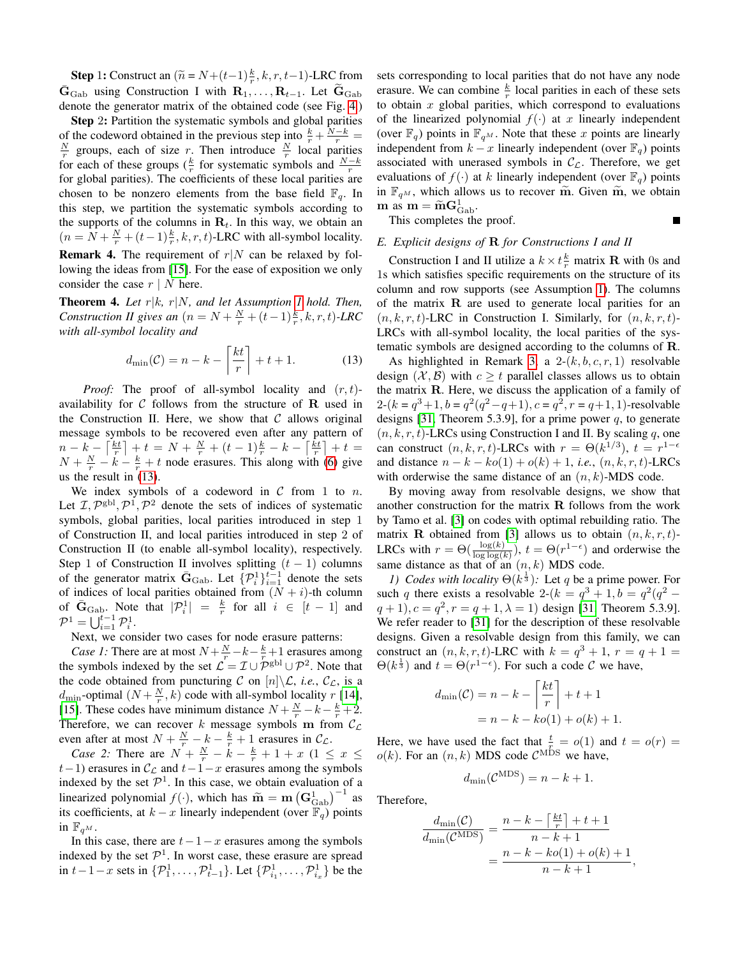**Step 1:** Construct an  $(\widetilde{n} = N + (t-1)\frac{k}{r}, k, r, t-1)$ -LRC from  $\bar{\mathbf{G}}_{\text{Gab}}$  using Construction I with  $\mathbf{R}_1, \ldots, \mathbf{R}_{t-1}$ . Let  $\mathbf{G}_{\text{Gab}}$ denote the generator matrix of the obtained code (see Fig. [4.](#page-4-3))

Step 2: Partition the systematic symbols and global parities of the codeword obtained in the previous step into  $\frac{k}{r} + \frac{N-k}{r} =$  $\frac{N}{r}$  groups, each of size r. Then introduce  $\frac{N}{r}$  local parities for each of these groups ( $\frac{k}{r}$  for systematic symbols and  $\frac{N-k}{r}$ for global parities). The coefficients of these local parities are chosen to be nonzero elements from the base field  $\mathbb{F}_q$ . In this step, we partition the systematic symbols according to the supports of the columns in  $\mathbf{R}_t$ . In this way, we obtain an  $(n = N + \frac{N}{r} + (t-1)\frac{k}{r}, k, r, t)$ -LRC with all-symbol locality. **Remark 4.** The requirement of  $r|N$  can be relaxed by following the ideas from [\[15\]](#page-7-21). For the ease of exposition we only consider the case  $r \mid N$  here.

Theorem 4. *Let* r|k*,* r|N*, and let Assumption [1](#page-3-7) hold. Then, Construction II gives an*  $(n = N + \frac{N}{r} + (t-1)\frac{k}{r}, k, r, t)$ *-LRC with all-symbol locality and*

$$
d_{\min}(\mathcal{C}) = n - k - \left\lceil \frac{kt}{r} \right\rceil + t + 1. \tag{13}
$$

*Proof:* The proof of all-symbol locality and  $(r, t)$ availability for  $C$  follows from the structure of  $R$  used in the Construction II. Here, we show that  $C$  allows original message symbols to be recovered even after any pattern of  $n - k - \left[\frac{k t}{r}\right] + t = N + \frac{N}{r} + (t - 1)\frac{k}{r} - k - \left[\frac{k t}{r}\right] + t =$  $N + \frac{N}{r} - k - \frac{k}{r} + t$  node erasures. This along with [\(6\)](#page-2-6) give us the result in [\(13\)](#page-5-1).

We index symbols of a codeword in  $C$  from 1 to n. Let  $\mathcal{I}, \mathcal{P}^{\text{gbl}}, \mathcal{P}^1, \mathcal{P}^2$  denote the sets of indices of systematic symbols, global parities, local parities introduced in step 1 of Construction II, and local parities introduced in step 2 of Construction II (to enable all-symbol locality), respectively. Step 1 of Construction II involves splitting  $(t - 1)$  columns of the generator matrix  $\bar{\mathbf{G}}_{\text{Gab.}}$  Let  $\{P_i^1\}_{i=1}^{t-1}$  denote the sets of indices of local parities obtained from  $(N + i)$ -th column of  $\bar{\mathbf{G}}_{\text{Gab}}$ . Note that  $|\mathcal{P}_i^1| = \frac{k}{r}$  for all  $i \in [t-1]$  and  $\mathcal{P}^1 = \bigcup_{i=1}^{t-1} \mathcal{P}_i^1.$ 

Next, we consider two cases for node erasure patterns:

*Case 1:* There are at most  $N + \frac{N}{r} - k - \frac{k}{r} + 1$  erasures among the symbols indexed by the set  $\mathcal{L} = \mathcal{I} \cup \mathcal{P}^{\text{gbl}} \cup \mathcal{P}^2$ . Note that the code obtained from puncturing C on  $[n]\setminus\mathcal{L}$ , *i.e.*,  $\mathcal{C}_{\mathcal{L}}$ , is a  $d_{\min}$ -optimal  $(N + \frac{N}{r}, k)$  code with all-symbol locality r [\[14\]](#page-7-20), [\[15\]](#page-7-21). These codes have minimum distance  $N + \frac{N}{r} - k - \frac{k}{r} + 2$ . Therefore, we can recover k message symbols m from  $C_{\mathcal{L}}$ even after at most  $N + \frac{N}{r} - k - \frac{k}{r} + 1$  erasures in  $\mathcal{C}_{\mathcal{L}}$ .

*Case 2:* There are  $N + \frac{N}{r} - k - \frac{k}{r} + 1 + x$  ( $1 \leq x \leq$  $t-1$ ) erasures in  $\mathcal{C}_{\mathcal{L}}$  and  $t-1-x$  erasures among the symbols indexed by the set  $\mathcal{P}^1$ . In this case, we obtain evaluation of a linearized polynomial *f*(·), which has  $\widetilde{\mathbf{m}} = \mathbf{m} (\mathbf{G}_{\text{lab}}^1)^{-1}$  as its coefficients, at  $k - x$  linearly independent (over  $\mathbb{F}_q$ ) points in  $\mathbb{F}_{q^M}$ .

In this case, there are  $t-1-x$  erasures among the symbols indexed by the set  $\mathcal{P}^1$ . In worst case, these erasure are spread in  $t-1-x$  sets in  $\{\mathcal{P}_1^1, \ldots, \mathcal{P}_{t-1}^1\}$ . Let  $\{\mathcal{P}_{i_1}^1, \ldots, \mathcal{P}_{i_x}^1\}$  be the sets corresponding to local parities that do not have any node erasure. We can combine  $\frac{k}{r}$  local parities in each of these sets to obtain  $x$  global parities, which correspond to evaluations of the linearized polynomial  $f(\cdot)$  at x linearly independent (over  $\mathbb{F}_q$ ) points in  $\mathbb{F}_{q^M}$ . Note that these x points are linearly independent from  $k - x$  linearly independent (over  $\mathbb{F}_q$ ) points associated with unerased symbols in  $C_{\mathcal{L}}$ . Therefore, we get evaluations of  $f(\cdot)$  at k linearly independent (over  $\mathbb{F}_q$ ) points in  $\mathbb{F}_{q^M}$ , which allows us to recover  $\widetilde{m}$ . Given  $\widetilde{m}$ , we obtain m as  $m = \widetilde{m} G_{\text{Gab}}^1$ .

This completes the proof.

# <span id="page-5-0"></span>*E. Explicit designs of* R *for Constructions I and II*

Construction I and II utilize a  $k \times t^{\frac{k}{r}}$  matrix **R** with 0s and 1s which satisfies specific requirements on the structure of its column and row supports (see Assumption [1\)](#page-3-7). The columns of the matrix  $\bf{R}$  are used to generate local parities for an  $(n, k, r, t)$ -LRC in Construction I. Similarly, for  $(n, k, r, t)$ -LRCs with all-symbol locality, the local parities of the systematic symbols are designed according to the columns of R.

<span id="page-5-1"></span>As highlighted in Remark [3,](#page-3-6) a  $2-(k, b, c, r, 1)$  resolvable design  $(X, \mathcal{B})$  with  $c > t$  parallel classes allows us to obtain the matrix R. Here, we discuss the application of a family of  $2-(k = q^3+1, b = q^2(q^2-q+1), c = q^2, r = q+1, 1)$ -resolvable designs [\[31,](#page-7-18) Theorem 5.3.9], for a prime power  $q$ , to generate  $(n, k, r, t)$ -LRCs using Construction I and II. By scaling q, one can construct  $(n, k, r, t)$ -LRCs with  $r = \Theta(k^{1/3})$ ,  $t = r^{1-\epsilon}$ and distance  $n - k - ko(1) + o(k) + 1$ , *i.e.*,  $(n, k, r, t)$ -LRCs with orderwise the same distance of an  $(n, k)$ -MDS code.

By moving away from resolvable designs, we show that another construction for the matrix R follows from the work by Tamo et al. [\[3\]](#page-6-1) on codes with optimal rebuilding ratio. The matrix **R** obtained from [\[3\]](#page-6-1) allows us to obtain  $(n, k, r, t)$ -LRCs with  $r = \Theta(\frac{\log(k)}{\log \log(k)})$ ,  $t = \Theta(r^{1-\epsilon})$  and orderwise the same distance as that of an  $(n, k)$  MDS code.

*1) Codes with locality*  $\Theta(k^{\frac{1}{3}})$ : Let q be a prime power. For such q there exists a resolvable  $2-(k = q^3 + 1, b = q^2(q^2 (q+1), c = q^2, r = q+1, \lambda = 1$  design [\[31,](#page-7-18) Theorem 5.3.9]. We refer reader to [\[31\]](#page-7-18) for the description of these resolvable designs. Given a resolvable design from this family, we can construct an  $(n, k, r, t)$ -LRC with  $k = q^3 + 1$ ,  $r = q + 1$  $\Theta(k^{\frac{1}{3}})$  and  $t = \Theta(r^{1-\epsilon})$ . For such a code C we have,

$$
d_{\min}(\mathcal{C}) = n - k - \left\lceil \frac{kt}{r} \right\rceil + t + 1
$$

$$
= n - k - ko(1) + o(k) + 1.
$$

Here, we have used the fact that  $\frac{t}{t} = o(1)$  and  $t = o(r) =$  $o(k)$ . For an  $(n, k)$  MDS code  $C<sup>MDS</sup>$  we have,

$$
d_{\min}(\mathcal{C}^{\text{MDS}}) = n - k + 1.
$$

Therefore,

$$
\frac{d_{\min}(\mathcal{C})}{d_{\min}(\mathcal{C}^{\text{MDS}})} = \frac{n - k - \left\lceil \frac{kt}{r} \right\rceil + t + 1}{n - k + 1} = \frac{n - k - k o(1) + o(k) + 1}{n - k + 1},
$$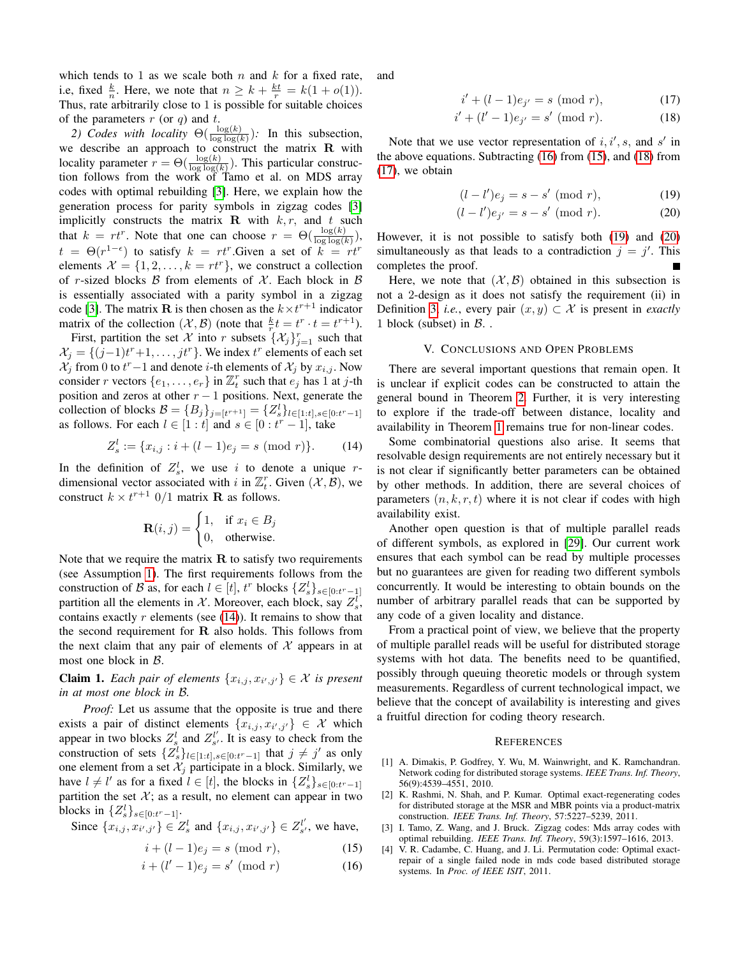which tends to 1 as we scale both  $n$  and  $k$  for a fixed rate, i.e, fixed  $\frac{k}{n}$ . Here, we note that  $n \geq k + \frac{kt}{r} = k(1 + o(1)).$ Thus, rate arbitrarily close to 1 is possible for suitable choices of the parameters  $r$  (or  $q$ ) and  $t$ .

2) Codes with locality  $\Theta(\frac{\log(k)}{\log\log(k)})$ : In this subsection, we describe an approach to construct the matrix  $\bf{R}$  with locality parameter  $r = \Theta(\frac{\log(k)}{\log \log(k)})$ . This particular construction follows from the work of Tamo et al. on MDS array codes with optimal rebuilding [\[3\]](#page-6-1). Here, we explain how the generation process for parity symbols in zigzag codes [\[3\]](#page-6-1) implicitly constructs the matrix **R** with  $k, r$ , and  $t$  such that  $k = rt^r$ . Note that one can choose  $r = \Theta(\frac{\log(k)}{\log \log(k)})$ ,  $t = \Theta(r^{1-\epsilon})$  to satisfy  $k = rt^r$ . Given a set of  $k = rt^r$ elements  $\mathcal{X} = \{1, 2, ..., k = rt^r\}$ , we construct a collection of r-sized blocks  $\beta$  from elements of  $\chi$ . Each block in  $\beta$ is essentially associated with a parity symbol in a zigzag code [\[3\]](#page-6-1). The matrix **R** is then chosen as the  $k \times t^{r+1}$  indicator matrix of the collection  $(\mathcal{X}, \mathcal{B})$  (note that  $\frac{k}{r}t = t^r \cdot t = t^{r+1}$ ).

First, partition the set X into r subsets  $\{\mathcal{X}_j\}_{j=1}^r$  such that  $\mathcal{X}_j = \{(j-1)t^r + 1, \ldots, jt^r\}$ . We index  $t^r$  elements of each set  $\mathcal{X}_j$  from 0 to  $t^r-1$  and denote i-th elements of  $\mathcal{X}_j$  by  $x_{i,j}$ . Now consider r vectors  $\{e_1, \ldots, e_r\}$  in  $\mathbb{Z}_t^r$  such that  $e_j$  has 1 at j-th position and zeros at other  $r - 1$  positions. Next, generate the collection of blocks  $B = \{B_j\}_{j = [t^{r+1}]} = \{Z_s^l\}_{l \in [1:t], s \in [0:t^r-1]}$ as follows. For each  $l \in [1:t]$  and  $s \in [0:t^r-1]$ , take

$$
Z_s^l := \{x_{i,j} : i + (l-1)e_j = s \pmod{r}\}.
$$
 (14)

In the definition of  $Z_s^l$ , we use i to denote a unique rdimensional vector associated with i in  $\mathbb{Z}_t^r$ . Given  $(\mathcal{X}, \mathcal{B})$ , we construct  $k \times t^{r+1}$  0/1 matrix **R** as follows.

$$
\mathbf{R}(i,j) = \begin{cases} 1, & \text{if } x_i \in B_j \\ 0, & \text{otherwise.} \end{cases}
$$

Note that we require the matrix  $R$  to satisfy two requirements (see Assumption [1\)](#page-3-7). The first requirements follows from the construction of B as, for each  $l \in [t]$ ,  $t^r$  blocks  $\{Z_s^l\}_{s \in [0:t^r-1]}$ partition all the elements in  $X$ . Moreover, each block, say  $Z_s^l$ , contains exactly  $r$  elements (see [\(14\)](#page-6-2)). It remains to show that the second requirement for  $R$  also holds. This follows from the next claim that any pair of elements of  $\mathcal X$  appears in at most one block in B.

**Claim 1.** *Each pair of elements*  $\{x_{i,j}, x_{i',j'}\} \in \mathcal{X}$  *is present in at most one block in* B*.*

*Proof:* Let us assume that the opposite is true and there exists a pair of distinct elements  $\{x_{i,j}, x_{i',j'}\} \in \mathcal{X}$  which appear in two blocks  $Z_s^l$  and  $Z_{s'}^{l'}$  $s'$ . It is easy to check from the construction of sets  $\{Z_s^l\}_{l \in [1:t], s \in [0:t^r-1]}$  that  $j \neq j'$  as only one element from a set  $\mathcal{X}_i$  participate in a block. Similarly, we have  $l \neq l'$  as for a fixed  $l \in [t]$ , the blocks in  $\{Z_s^l\}_{s \in [0:t^r-1]}$ partition the set  $X$ ; as a result, no element can appear in two blocks in  $\{Z_s^l\}_{s \in [0:t^r-1]}$ .

Since  $\{x_{i,j}, x_{i',j'}\} \in Z_s^l$  and  $\{x_{i,j}, x_{i',j'}\} \in Z_{s'}^{l'}$  $s'$ , we have,

$$
i + (l - 1)e_j = s \pmod{r},\tag{15}
$$

$$
i + (l' - 1)e_j = s' \pmod{r} \tag{16}
$$

and

<span id="page-6-6"></span><span id="page-6-5"></span>
$$
i' + (l - 1)e_{j'} = s \pmod{r},\tag{17}
$$

$$
i' + (l' - 1)e_{j'} = s' \pmod{r}.
$$
 (18)

Note that we use vector representation of  $i, i', s$ , and s' in the above equations. Subtracting [\(16\)](#page-6-3) from [\(15\)](#page-6-4), and [\(18\)](#page-6-5) from [\(17\)](#page-6-6), we obtain

<span id="page-6-8"></span><span id="page-6-7"></span>
$$
(l - l')e_j = s - s' \pmod{r},\tag{19}
$$

$$
(l - l')e_{j'} = s - s' \pmod{r}.
$$
 (20)

However, it is not possible to satisfy both [\(19\)](#page-6-7) and [\(20\)](#page-6-8) simultaneously as that leads to a contradiction  $j = j'$ . This completes the proof.

Here, we note that  $(X, \mathcal{B})$  obtained in this subsection is not a 2-design as it does not satisfy the requirement (ii) in Definition [3,](#page-2-9) *i.e.*, every pair  $(x, y) \subset \mathcal{X}$  is present in *exactly* 1 block (subset) in  $\beta$ ..

## V. CONCLUSIONS AND OPEN PROBLEMS

There are several important questions that remain open. It is unclear if explicit codes can be constructed to attain the general bound in Theorem [2.](#page-2-10) Further, it is very interesting to explore if the trade-off between distance, locality and availability in Theorem [1](#page-2-11) remains true for non-linear codes.

<span id="page-6-2"></span>Some combinatorial questions also arise. It seems that resolvable design requirements are not entirely necessary but it is not clear if significantly better parameters can be obtained by other methods. In addition, there are several choices of parameters  $(n, k, r, t)$  where it is not clear if codes with high availability exist.

Another open question is that of multiple parallel reads of different symbols, as explored in [\[29\]](#page-7-12). Our current work ensures that each symbol can be read by multiple processes but no guarantees are given for reading two different symbols concurrently. It would be interesting to obtain bounds on the number of arbitrary parallel reads that can be supported by any code of a given locality and distance.

From a practical point of view, we believe that the property of multiple parallel reads will be useful for distributed storage systems with hot data. The benefits need to be quantified, possibly through queuing theoretic models or through system measurements. Regardless of current technological impact, we believe that the concept of availability is interesting and gives a fruitful direction for coding theory research.

#### **REFERENCES**

- <span id="page-6-0"></span>[1] A. Dimakis, P. Godfrey, Y. Wu, M. Wainwright, and K. Ramchandran. Network coding for distributed storage systems. *IEEE Trans. Inf. Theory*, 56(9):4539–4551, 2010.
- [2] K. Rashmi, N. Shah, and P. Kumar. Optimal exact-regenerating codes for distributed storage at the MSR and MBR points via a product-matrix construction. *IEEE Trans. Inf. Theory*, 57:5227–5239, 2011.
- <span id="page-6-1"></span>[3] I. Tamo, Z. Wang, and J. Bruck. Zigzag codes: Mds array codes with optimal rebuilding. *IEEE Trans. Inf. Theory*, 59(3):1597–1616, 2013.
- <span id="page-6-4"></span><span id="page-6-3"></span>[4] V. R. Cadambe, C. Huang, and J. Li. Permutation code: Optimal exactrepair of a single failed node in mds code based distributed storage systems. In *Proc. of IEEE ISIT*, 2011.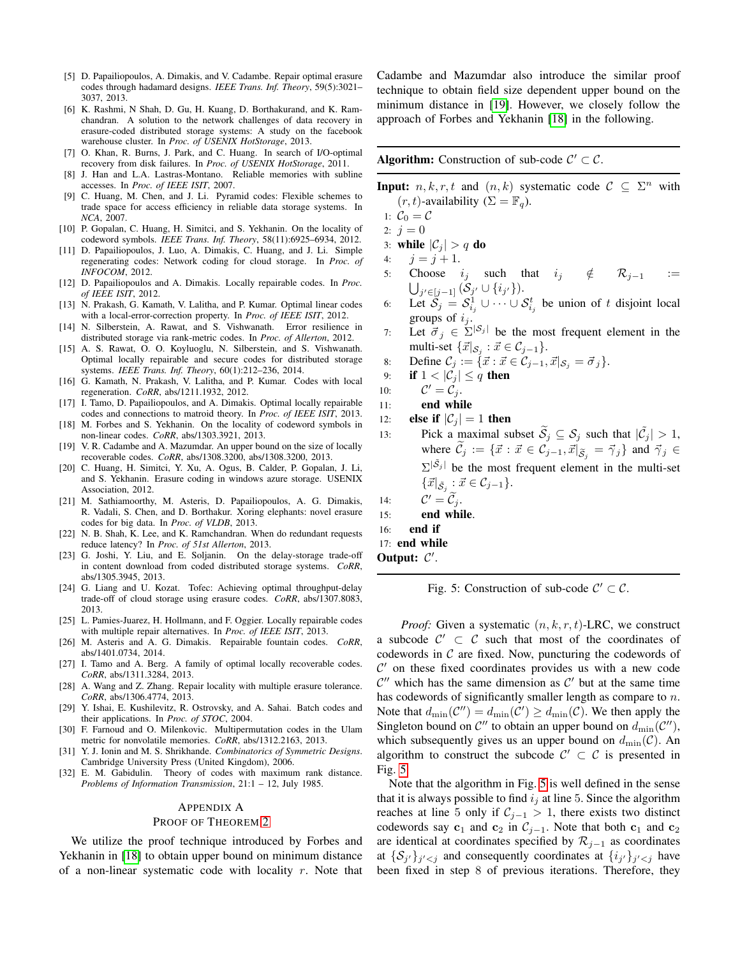- [5] D. Papailiopoulos, A. Dimakis, and V. Cadambe. Repair optimal erasure codes through hadamard designs. *IEEE Trans. Inf. Theory*, 59(5):3021– 3037, 2013.
- <span id="page-7-0"></span>[6] K. Rashmi, N Shah, D. Gu, H. Kuang, D. Borthakurand, and K. Ramchandran. A solution to the network challenges of data recovery in erasure-coded distributed storage systems: A study on the facebook warehouse cluster. In *Proc. of USENIX HotStorage*, 2013.
- <span id="page-7-1"></span>[7] O. Khan, R. Burns, J. Park, and C. Huang. In search of I/O-optimal recovery from disk failures. In *Proc. of USENIX HotStorage*, 2011.
- <span id="page-7-2"></span>[8] J. Han and L.A. Lastras-Montano. Reliable memories with subline accesses. In *Proc. of IEEE ISIT*, 2007.
- <span id="page-7-16"></span>[9] C. Huang, M. Chen, and J. Li. Pyramid codes: Flexible schemes to trade space for access efficiency in reliable data storage systems. In *NCA*, 2007.
- <span id="page-7-13"></span>[10] P. Gopalan, C. Huang, H. Simitci, and S. Yekhanin. On the locality of codeword symbols. *IEEE Trans. Inf. Theory*, 58(11):6925–6934, 2012.
- [11] D. Papailiopoulos, J. Luo, A. Dimakis, C. Huang, and J. Li. Simple regenerating codes: Network coding for cloud storage. In *Proc. of INFOCOM*, 2012.
- <span id="page-7-14"></span>[12] D. Papailiopoulos and A. Dimakis. Locally repairable codes. In *Proc. of IEEE ISIT*, 2012.
- [13] N. Prakash, G. Kamath, V. Lalitha, and P. Kumar. Optimal linear codes with a local-error-correction property. In *Proc. of IEEE ISIT*, 2012.
- <span id="page-7-20"></span>[14] N. Silberstein, A. Rawat, and S. Vishwanath. Error resilience in distributed storage via rank-metric codes. In *Proc. of Allerton*, 2012.
- <span id="page-7-21"></span>[15] A. S. Rawat, O. O. Koyluoglu, N. Silberstein, and S. Vishwanath. Optimal locally repairable and secure codes for distributed storage systems. *IEEE Trans. Inf. Theory*, 60(1):212–236, 2014.
- [16] G. Kamath, N. Prakash, V. Lalitha, and P. Kumar. Codes with local regeneration. *CoRR*, abs/1211.1932, 2012.
- [17] I. Tamo, D. Papailiopoulos, and A. Dimakis. Optimal locally repairable codes and connections to matroid theory. In *Proc. of IEEE ISIT*, 2013.
- <span id="page-7-22"></span>[18] M. Forbes and S. Yekhanin. On the locality of codeword symbols in non-linear codes. *CoRR*, abs/1303.3921, 2013.
- <span id="page-7-3"></span>[19] V. R. Cadambe and A. Mazumdar. An upper bound on the size of locally recoverable codes. *CoRR*, abs/1308.3200, abs/1308.3200, 2013.
- <span id="page-7-4"></span>[20] C. Huang, H. Simitci, Y. Xu, A. Ogus, B. Calder, P. Gopalan, J. Li, and S. Yekhanin. Erasure coding in windows azure storage. USENIX Association, 2012.
- <span id="page-7-5"></span>[21] M. Sathiamoorthy, M. Asteris, D. Papailiopoulos, A. G. Dimakis, R. Vadali, S. Chen, and D. Borthakur. Xoring elephants: novel erasure codes for big data. In *Proc. of VLDB*, 2013.
- <span id="page-7-6"></span>[22] N. B. Shah, K. Lee, and K. Ramchandran. When do redundant requests reduce latency? In *Proc. of 51st Allerton*, 2013.
- [23] G. Joshi, Y. Liu, and E. Soljanin. On the delay-storage trade-off in content download from coded distributed storage systems. *CoRR*, abs/1305.3945, 2013.
- <span id="page-7-7"></span>[24] G. Liang and U. Kozat. Tofec: Achieving optimal throughput-delay trade-off of cloud storage using erasure codes. *CoRR*, abs/1307.8083, 2013.
- <span id="page-7-8"></span>[25] L. Pamies-Juarez, H. Hollmann, and F. Oggier. Locally repairable codes with multiple repair alternatives. In *Proc. of IEEE ISIT*, 2013.
- <span id="page-7-9"></span>[26] M. Asteris and A. G. Dimakis. Repairable fountain codes. *CoRR*, abs/1401.0734, 2014.
- <span id="page-7-10"></span>[27] I. Tamo and A. Berg. A family of optimal locally recoverable codes. *CoRR*, abs/1311.3284, 2013.
- <span id="page-7-11"></span>[28] A. Wang and Z. Zhang. Repair locality with multiple erasure tolerance. *CoRR*, abs/1306.4774, 2013.
- <span id="page-7-12"></span>[29] Y. Ishai, E. Kushilevitz, R. Ostrovsky, and A. Sahai. Batch codes and their applications. In *Proc. of STOC*, 2004.
- <span id="page-7-17"></span>[30] F. Farnoud and O. Milenkovic. Multipermutation codes in the Ulam metric for nonvolatile memories. *CoRR*, abs/1312.2163, 2013.
- <span id="page-7-18"></span>[31] Y. J. Ionin and M. S. Shrikhande. *Combinatorics of Symmetric Designs*. Cambridge University Press (United Kingdom), 2006.
- <span id="page-7-19"></span>[32] E. M. Gabidulin. Theory of codes with maximum rank distance. *Problems of Information Transmission*, 21:1 – 12, July 1985.

# <span id="page-7-15"></span>APPENDIX A

# PROOF OF THEOREM [2](#page-2-10)

We utilize the proof technique introduced by Forbes and Yekhanin in [\[18\]](#page-7-22) to obtain upper bound on minimum distance of a non-linear systematic code with locality  $r$ . Note that Cadambe and Mazumdar also introduce the similar proof technique to obtain field size dependent upper bound on the minimum distance in [\[19\]](#page-7-3). However, we closely follow the approach of Forbes and Yekhanin [\[18\]](#page-7-22) in the following.

# <span id="page-7-23"></span>**Algorithm:** Construction of sub-code  $C' \subset C$ .

**Input:**  $n, k, r, t$  and  $(n, k)$  systematic code  $C \subseteq \Sigma^n$  with  $(r, t)$ -availability  $(\Sigma = \mathbb{F}_q)$ .

$$
1: \ \mathcal{C}_0 = \mathcal{C}
$$

2:  $j = 0$ 

3: while 
$$
|\mathcal{C}_j| > q
$$
 do

- 4:  $j = j + 1$ .
- 5: Choose  $i_j$  such that  $i_j \notin \mathcal{R}_{j-1} := \bigcup_{j' \in [j-1]} (\mathcal{S}_{j'} \cup \{i_{j'}\}).$
- 6: Let  $\tilde{S}_j = S^1_{i_j} \cup \cdots \cup S^t_{i_j}$  be union of t disjoint local groups of  $i_j$ .
- 7: Let  $\vec{\sigma}_j \in \Sigma^{|\mathcal{S}_j|}$  be the most frequent element in the multi-set  $\{\vec{x}|_{\mathcal{S}_j} : \vec{x} \in \mathcal{C}_{j-1}\}.$

8: Define 
$$
C_j := \{ \vec{x} : \vec{x} \in C_{j-1}, \vec{x} | S_j = \vec{\sigma}_j \}.
$$

- 9: if  $1 < |\mathcal{C}_j| \leq q$  then
- 10:<br>11:  $\mathcal{C}' = \mathcal{C}_i$ .
- end while
- 12: **else if**  $|C_j| = 1$  **then**<br>13: Pick a maximal sum
- 13: Pick a maximal subset  $\widetilde{S}_j \subseteq S_j$  such that  $|\widetilde{C}_j| > 1$ , where  $C_j := \{ \vec{x} : \vec{x} \in C_{j-1}, \vec{x} |_{\widetilde{S}_j} = \vec{\gamma}_j \}$  and  $\vec{\gamma}_j \in$  $\Sigma^{|\tilde{S}_j|}$  be the most frequent element in the multi-set  $\{\vec{x}|_{\tilde{\mathcal{S}}_j} : \vec{x} \in \mathcal{C}_{j-1}\}.$

$$
14: \qquad \mathcal{C}' = \mathcal{C}_j.
$$

$$
15: \qquad end \text{ while.}
$$

16: end if

17: end while

Output:  $C'$ .



*Proof:* Given a systematic  $(n, k, r, t)$ -LRC, we construct a subcode  $\mathcal{C}' \subset \mathcal{C}$  such that most of the coordinates of codewords in  $\mathcal C$  are fixed. Now, puncturing the codewords of  $\mathcal{C}'$  on these fixed coordinates provides us with a new code  $\mathcal{C}''$  which has the same dimension as  $\mathcal{C}'$  but at the same time has codewords of significantly smaller length as compare to n. Note that  $d_{\min}(\mathcal{C}'') = d_{\min}(\mathcal{C}') \geq d_{\min}(\mathcal{C})$ . We then apply the Singleton bound on  $\mathcal{C}''$  to obtain an upper bound on  $d_{\min}(\mathcal{C}'')$ , which subsequently gives us an upper bound on  $d_{\min}(\mathcal{C})$ . An algorithm to construct the subcode  $C' \subset C$  is presented in Fig. [5.](#page-7-23)

Note that the algorithm in Fig. [5](#page-7-23) is well defined in the sense that it is always possible to find  $i_j$  at line 5. Since the algorithm reaches at line 5 only if  $C_{i-1} > 1$ , there exists two distinct codewords say  $c_1$  and  $c_2$  in  $C_{j-1}$ . Note that both  $c_1$  and  $c_2$ are identical at coordinates specified by  $\mathcal{R}_{j-1}$  as coordinates at  $\{\mathcal{S}_{j'}\}_{j' < j}$  and consequently coordinates at  $\{i_{j'}\}_{j' < j}$  have been fixed in step 8 of previous iterations. Therefore, they